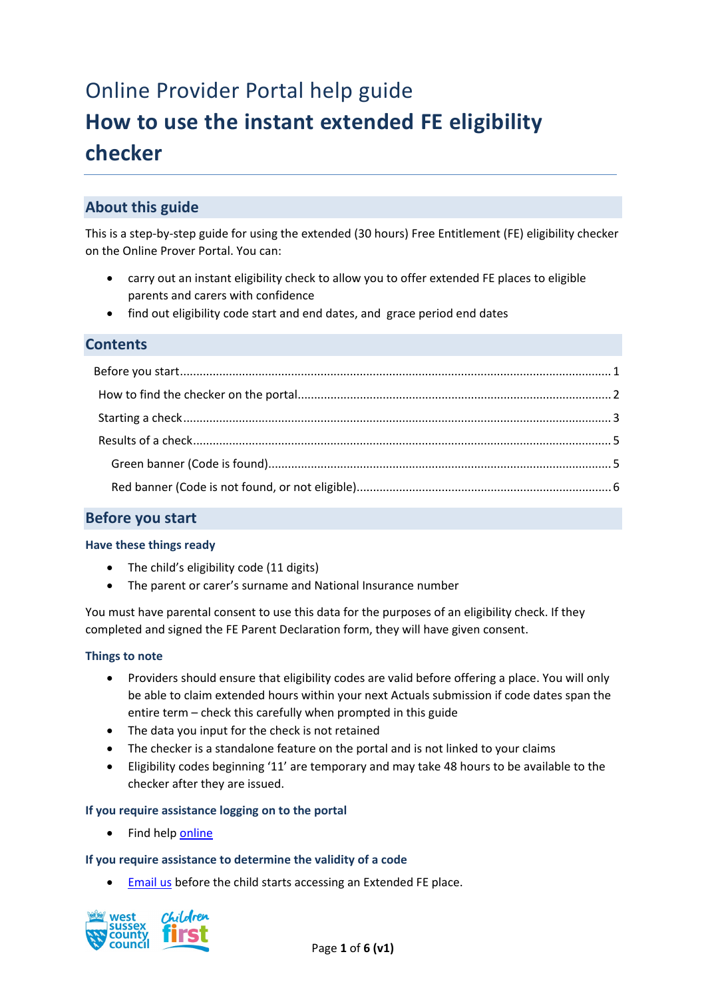# Online Provider Portal help guide **How to use the instant extended FE eligibility checker**

# **About this guide**

This is a step-by-step guide for using the extended (30 hours) Free Entitlement (FE) eligibility checker on the Online Prover Portal. You can:

- carry out an instant eligibility check to allow you to offer extended FE places to eligible parents and carers with confidence
- find out eligibility code start and end dates, and grace period end dates

## **Contents**

### <span id="page-0-0"></span>**Before you start**

#### **Have these things ready**

- The child's eligibility code (11 digits)
- The parent or carer's surname and National Insurance number

You must have parental consent to use this data for the purposes of an eligibility check. If they completed and signed the FE Parent Declaration form, they will have given consent.

#### **Things to note**

- Providers should ensure that eligibility codes are valid before offering a place. You will only be able to claim extended hours within your next Actuals submission if code dates span the entire term – check this carefully when prompted in this guide
- The data you input for the check is not retained
- The checker is a standalone feature on the portal and is not linked to your claims
- Eligibility codes beginning '11' are temporary and may take 48 hours to be available to the checker after they are issued.

#### **If you require assistance logging on to the portal**

• Find hel[p online](https://www.westsussex.gov.uk/ecsportal)

#### **If you require assistance to determine the validity of a code**

• [Email us](mailto:free.entitlement@westsussex.gov.uk) before the child starts accessing an Extended FE place.

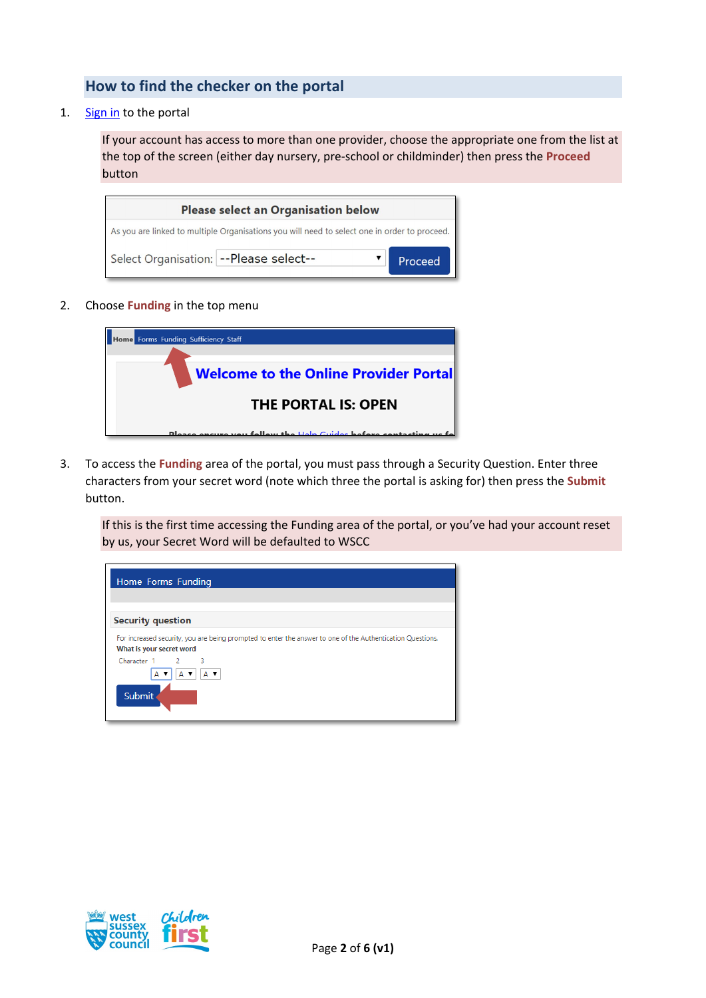## <span id="page-1-0"></span>**How to find the checker on the portal**

1. [Sign in](https://familyinfoservice.westsussex.gov.uk/SynergyWeb/login.aspx) to the portal

If your account has access to more than one provider, choose the appropriate one from the list at the top of the screen (either day nursery, pre-school or childminder) then press the **Proceed** button

| <b>Please select an Organisation below</b>                                                   |         |  |
|----------------------------------------------------------------------------------------------|---------|--|
| As you are linked to multiple Organisations you will need to select one in order to proceed. |         |  |
| Select Organisation: -- Please select--                                                      | Proceed |  |

2. Choose **Funding** in the top menu

| <b>Home</b> Forms Funding Sufficiency Staff                       |
|-------------------------------------------------------------------|
|                                                                   |
| <b>Welcome to the Online Provider Portal</b>                      |
|                                                                   |
| <b>THE PORTAL IS: OPEN</b>                                        |
| Please ensure you follow the Help Guides before contacting us for |

3. To access the **Funding** area of the portal, you must pass through a Security Question. Enter three characters from your secret word (note which three the portal is asking for) then press the **Submit** button.

If this is the first time accessing the Funding area of the portal, or you've had your account reset by us, your Secret Word will be defaulted to WSCC

| Home Forms Funding                                                                                                                     |
|----------------------------------------------------------------------------------------------------------------------------------------|
| <b>Security question</b>                                                                                                               |
| For increased security, you are being prompted to enter the answer to one of the Authentication Questions.<br>What is your secret word |
| Character 1 2 3<br>A v<br>A T<br>А                                                                                                     |
| <b>Submit</b>                                                                                                                          |

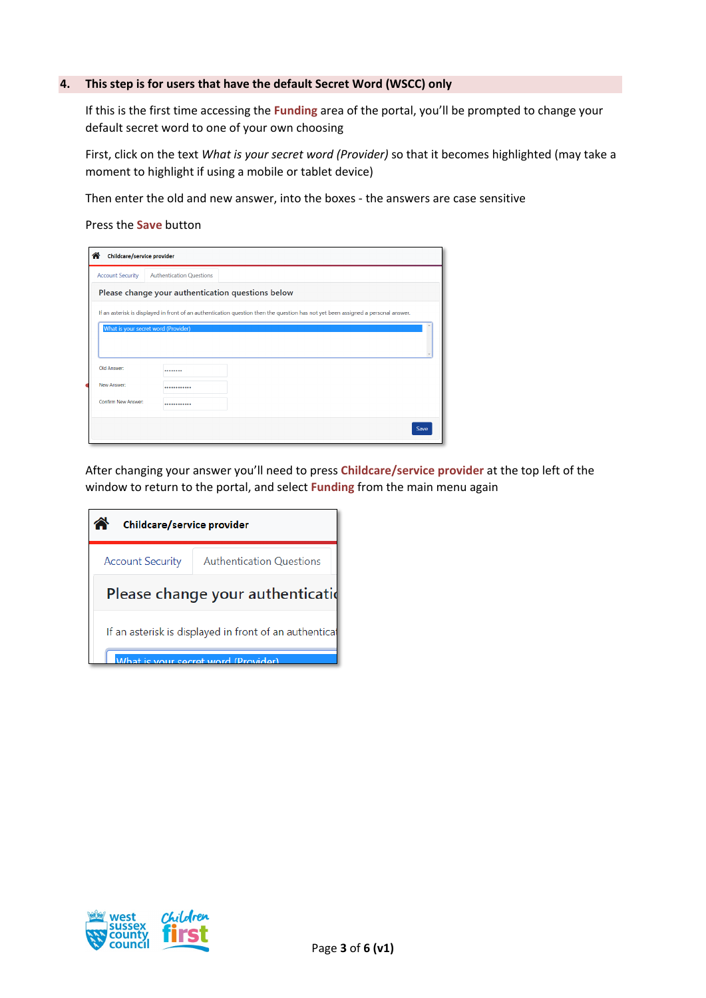#### <span id="page-2-0"></span>**4. This step is for users that have the default Secret Word (WSCC) only**

If this is the first time accessing the **Funding** area of the portal, you'll be prompted to change your default secret word to one of your own choosing

First, click on the text *What is your secret word (Provider)* so that it becomes highlighted (may take a moment to highlight if using a mobile or tablet device)

Then enter the old and new answer, into the boxes - the answers are case sensitive

Press the **Save** button

| <b>Account Security</b>    | <b>Authentication Questions</b>     |                                                                                                                                   |  |
|----------------------------|-------------------------------------|-----------------------------------------------------------------------------------------------------------------------------------|--|
|                            |                                     | Please change your authentication questions below                                                                                 |  |
|                            |                                     | If an asterisk is displayed in front of an authentication question then the question has not yet been assigned a personal answer. |  |
|                            |                                     |                                                                                                                                   |  |
|                            |                                     |                                                                                                                                   |  |
|                            | What is your secret word (Provider) |                                                                                                                                   |  |
|                            |                                     |                                                                                                                                   |  |
|                            |                                     |                                                                                                                                   |  |
| Old Answer:<br>New Answer: |                                     |                                                                                                                                   |  |
| Confirm New Answer:        |                                     |                                                                                                                                   |  |

After changing your answer you'll need to press **Childcare/service provider** at the top left of the window to return to the portal, and select **Funding** from the main menu again

| Childcare/service provider                             |                                     |  |
|--------------------------------------------------------|-------------------------------------|--|
| <b>Account Security</b>                                | <b>Authentication Questions</b>     |  |
| Please change your authentication                      |                                     |  |
| If an asterisk is displayed in front of an authenticat |                                     |  |
|                                                        | What is your secret word (Provider) |  |

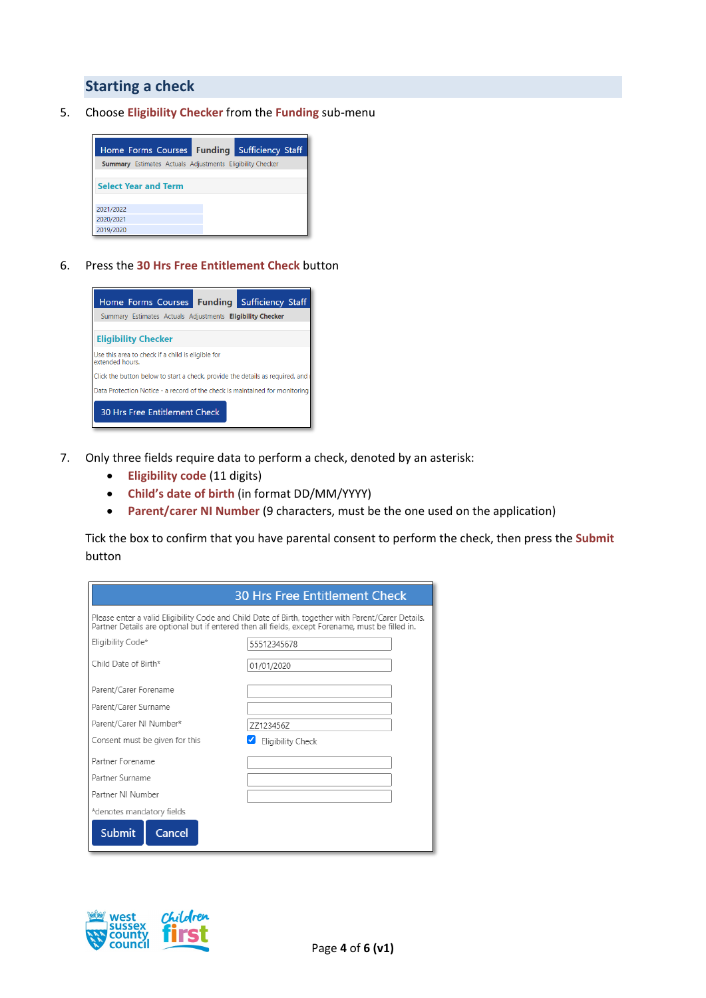## **Starting a check**

5. Choose **Eligibility Checker** from the **Funding** sub-menu



6. Press the **30 Hrs Free Entitlement Check** button



- 7. Only three fields require data to perform a check, denoted by an asterisk:
	- **Eligibility code** (11 digits)
	- **Child's date of birth** (in format DD/MM/YYYY)
	- **Parent/carer NI Number** (9 characters, must be the one used on the application)

Tick the box to confirm that you have parental consent to perform the check, then press the **Submit** button

|                                | <b>30 Hrs Free Entitlement Check</b>                                                                                                                                                                   |  |  |
|--------------------------------|--------------------------------------------------------------------------------------------------------------------------------------------------------------------------------------------------------|--|--|
|                                | Please enter a valid Eligibility Code and Child Date of Birth, together with Parent/Carer Details.<br>Partner Details are optional but if entered then all fields, except Forename, must be filled in. |  |  |
| Eligibility Code*              | 55512345678                                                                                                                                                                                            |  |  |
| Child Date of Birth*           | 01/01/2020                                                                                                                                                                                             |  |  |
| Parent/Carer Forename          |                                                                                                                                                                                                        |  |  |
| Parent/Carer Surname           |                                                                                                                                                                                                        |  |  |
| Parent/Carer NI Number*        | ZZ123456Z                                                                                                                                                                                              |  |  |
| Consent must be given for this | Eligibility Check                                                                                                                                                                                      |  |  |
| Partner Forename               |                                                                                                                                                                                                        |  |  |
| Partner Surname                |                                                                                                                                                                                                        |  |  |
| Partner NJ Number              |                                                                                                                                                                                                        |  |  |
| *denotes mandatory fields      |                                                                                                                                                                                                        |  |  |
| <b>Submit</b><br>Cancel        |                                                                                                                                                                                                        |  |  |

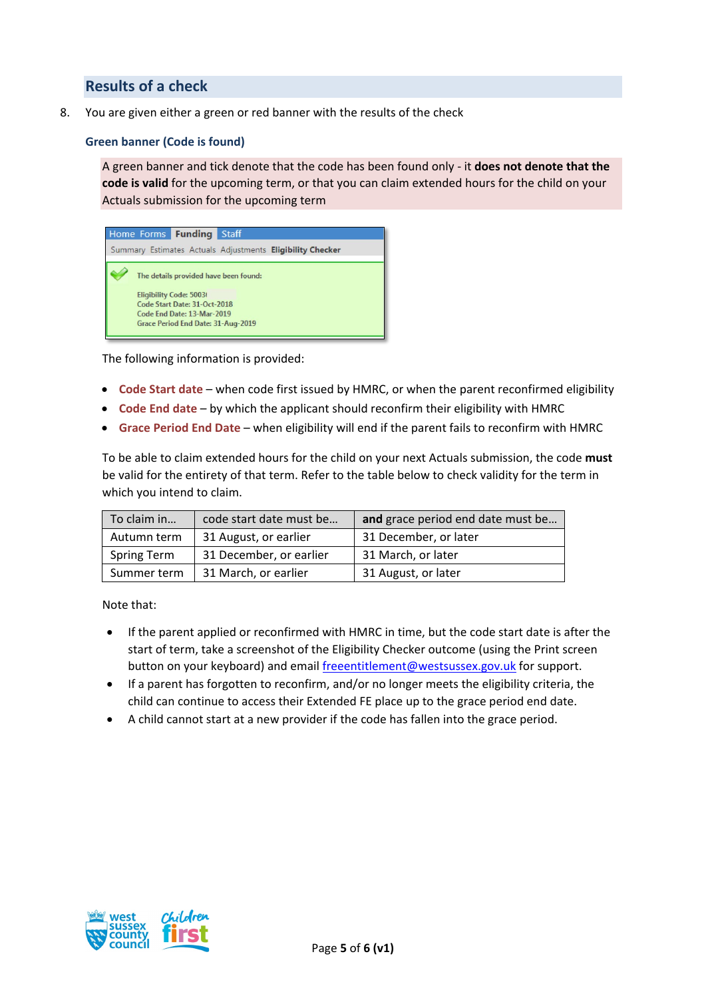## <span id="page-4-0"></span>**Results of a check**

8. You are given either a green or red banner with the results of the check

#### <span id="page-4-1"></span>**Green banner (Code is found)**

A green banner and tick denote that the code has been found only - it **does not denote that the code is valid** for the upcoming term, or that you can claim extended hours for the child on your Actuals submission for the upcoming term



The following information is provided:

- **Code Start date** when code first issued by HMRC, or when the parent reconfirmed eligibility
- **Code End date** by which the applicant should reconfirm their eligibility with HMRC
- **Grace Period End Date** when eligibility will end if the parent fails to reconfirm with HMRC

To be able to claim extended hours for the child on your next Actuals submission, the code **must** be valid for the entirety of that term. Refer to the table below to check validity for the term in which you intend to claim.

| To claim in        | code start date must be | and grace period end date must be |
|--------------------|-------------------------|-----------------------------------|
| Autumn term        | 31 August, or earlier   | 31 December, or later             |
| <b>Spring Term</b> | 31 December, or earlier | 31 March, or later                |
| Summer term        | 31 March, or earlier    | 31 August, or later               |

Note that:

- If the parent applied or reconfirmed with HMRC in time, but the code start date is after the start of term, take a screenshot of the Eligibility Checker outcome (using the Print screen button on your keyboard) and email [freeentitlement@westsussex.gov.uk](mailto:freeentitlement@westsussex.gov.uk) for support.
- If a parent has forgotten to reconfirm, and/or no longer meets the eligibility criteria, the child can continue to access their Extended FE place up to the grace period end date.
- A child cannot start at a new provider if the code has fallen into the grace period.